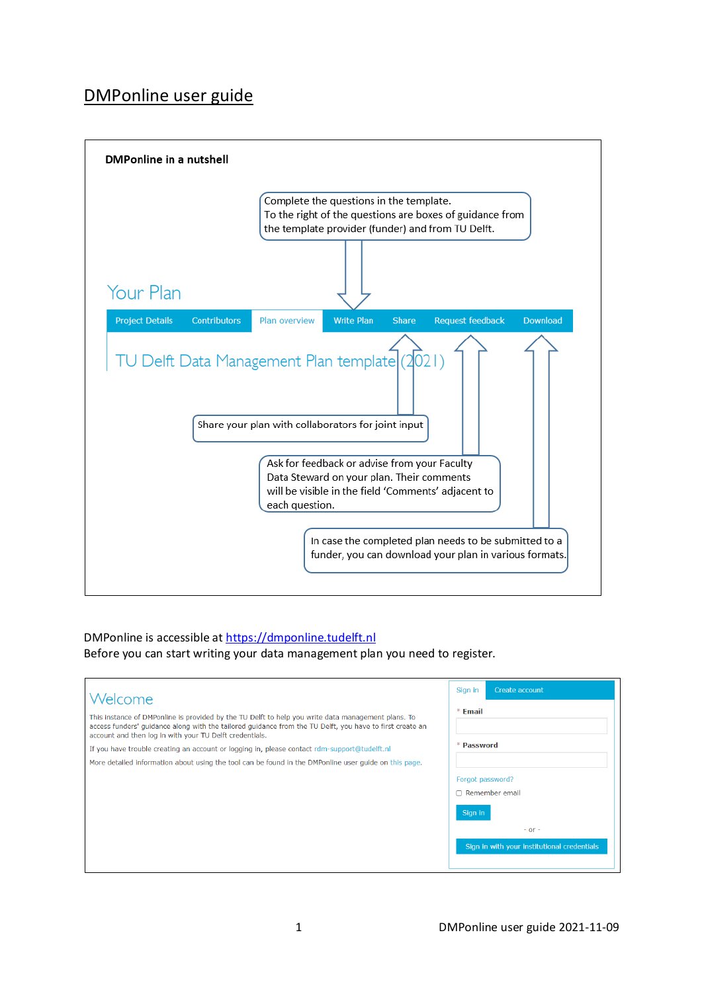# DMPonline user guide



# DMPonline is accessible a[t https://dmponline.tudelft.nl](https://dmponline.tudelft.nl/)

Before you can start writing your data management plan you need to register.

| Welcome                                                                                                                                                                                                                                                                   | Create account<br>Sign in                   |
|---------------------------------------------------------------------------------------------------------------------------------------------------------------------------------------------------------------------------------------------------------------------------|---------------------------------------------|
| This instance of DMPonline is provided by the TU Delft to help you write data management plans. To<br>access funders' quidance along with the tailored quidance from the TU Delft, you have to first create an<br>account and then log in with your TU Delft credentials. | $*F$ Email<br>* Password                    |
| If you have trouble creating an account or logging in, please contact rdm-support@tudelft.nl<br>More detailed information about using the tool can be found in the DMPonline user guide on this page.                                                                     |                                             |
|                                                                                                                                                                                                                                                                           | Forgot password?<br>$\cap$ Remember email   |
|                                                                                                                                                                                                                                                                           | Sign in<br>$-$ or $-$                       |
|                                                                                                                                                                                                                                                                           | Sign in with your institutional credentials |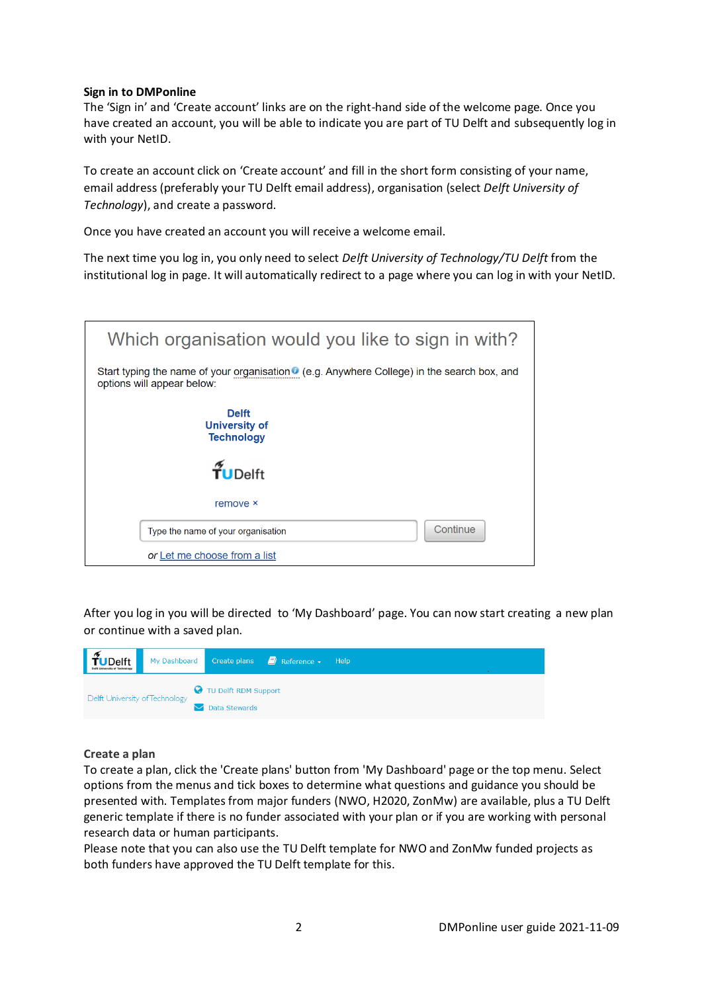# **Sign in to DMPonline**

The 'Sign in' and 'Create account' links are on the right-hand side of the welcome page. Once you have created an account, you will be able to indicate you are part of TU Delft and subsequently log in with your NetID.

To create an account click on 'Create account' and fill in the short form consisting of your name, email address (preferably your TU Delft email address), organisation (select *Delft University of Technology*), and create a password.

Once you have created an account you will receive a welcome email.

The next time you log in, you only need to select *Delft University of Technology/TU Delft* from the institutional log in page. It will automatically redirect to a page where you can log in with your NetID.

| Which organisation would you like to sign in with?                                                                      |
|-------------------------------------------------------------------------------------------------------------------------|
| Start typing the name of your organisation (e.g. Anywhere College) in the search box, and<br>options will appear below: |
| <b>Delft</b><br><b>University of</b><br><b>Technology</b>                                                               |
| $\tilde{\tau}_{\text{UDelta}}$                                                                                          |
| remove ×                                                                                                                |
| Continue<br>Type the name of your organisation                                                                          |
| or Let me choose from a list                                                                                            |

After you log in you will be directed to 'My Dashboard' page. You can now start creating a new plan or continue with a saved plan.

| $\sim$<br><b>TUDelft</b>       | My Dashboard |                      | Create plans $\Box$ Reference $\star$ | Help |  |  |  |  |
|--------------------------------|--------------|----------------------|---------------------------------------|------|--|--|--|--|
| Delft University of Technology |              | TU Delft RDM Support |                                       |      |  |  |  |  |
|                                |              | Data Stewards        |                                       |      |  |  |  |  |

# **Create a plan**

To create a plan, click the 'Create plans' button from 'My Dashboard' page or the top menu. Select options from the menus and tick boxes to determine what questions and guidance you should be presented with. Templates from major funders (NWO, H2020, ZonMw) are available, plus a TU Delft generic template if there is no funder associated with your plan or if you are working with personal research data or human participants.

Please note that you can also use the TU Delft template for NWO and ZonMw funded projects as both funders have approved the TU Delft template for this.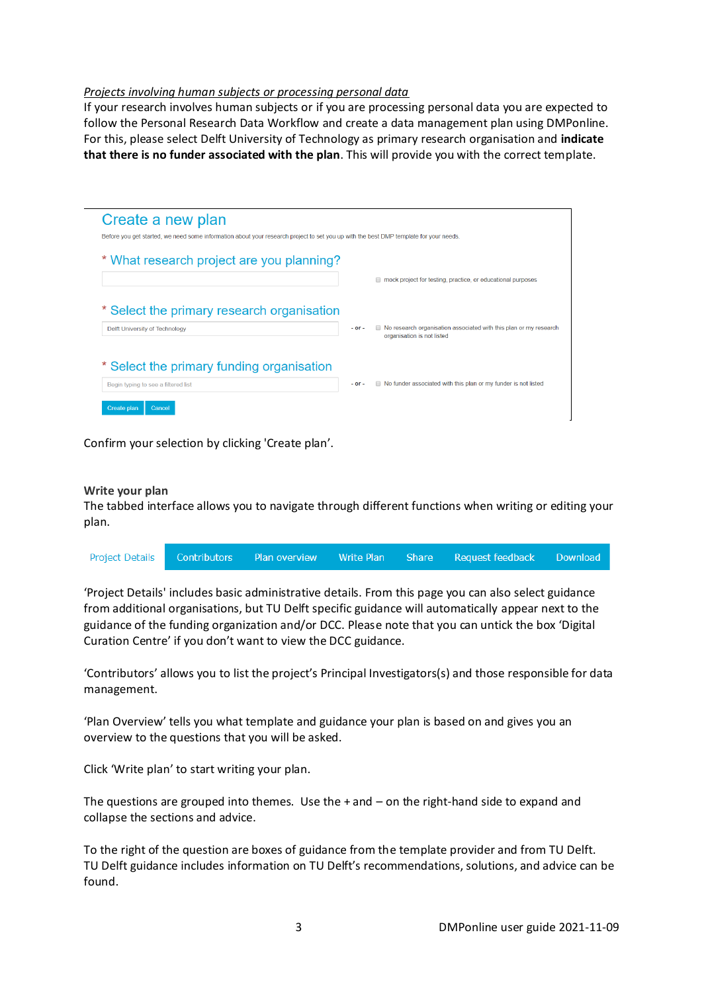# *Projects involving human subjects or processing personal data*

If your research involves human subjects or if you are processing personal data you are expected to follow the Personal Research Data Workflow and create a data management plan using DMPonline. For this, please select Delft University of Technology as primary research organisation and **indicate that there is no funder associated with the plan**. This will provide you with the correct template.

| Create a new plan                                                                                                                     |            |                                                                                                 |
|---------------------------------------------------------------------------------------------------------------------------------------|------------|-------------------------------------------------------------------------------------------------|
| Before you get started, we need some information about your research project to set you up with the best DMP template for your needs. |            |                                                                                                 |
| * What research project are you planning?                                                                                             |            |                                                                                                 |
|                                                                                                                                       |            | mock project for testing, practice, or educational purposes                                     |
| * Select the primary research organisation                                                                                            |            |                                                                                                 |
| Delft University of Technology                                                                                                        | $-$ or $-$ | No research organisation associated with this plan or my research<br>organisation is not listed |
|                                                                                                                                       |            |                                                                                                 |
| * Select the primary funding organisation                                                                                             |            |                                                                                                 |
| Begin typing to see a filtered list                                                                                                   | $-$ or $-$ | ■ No funder associated with this plan or my funder is not listed                                |
| Create plan<br>Cancel                                                                                                                 |            |                                                                                                 |

Confirm your selection by clicking 'Create plan'.

# **Write your plan**

The tabbed interface allows you to navigate through different functions when writing or editing your plan.

|  |  | Project Details Contributors Plan overview Write Plan Share Request feedback Download |  |
|--|--|---------------------------------------------------------------------------------------|--|
|  |  |                                                                                       |  |

'Project Details' includes basic administrative details. From this page you can also select guidance from additional organisations, but TU Delft specific guidance will automatically appear next to the guidance of the funding organization and/or DCC. Please note that you can untick the box 'Digital Curation Centre' if you don't want to view the DCC guidance.

'Contributors' allows you to list the project's Principal Investigators(s) and those responsible for data management.

'Plan Overview' tells you what template and guidance your plan is based on and gives you an overview to the questions that you will be asked.

Click 'Write plan' to start writing your plan.

The questions are grouped into themes. Use the + and – on the right-hand side to expand and collapse the sections and advice.

To the right of the question are boxes of guidance from the template provider and from TU Delft. TU Delft guidance includes information on TU Delft's recommendations, solutions, and advice can be found.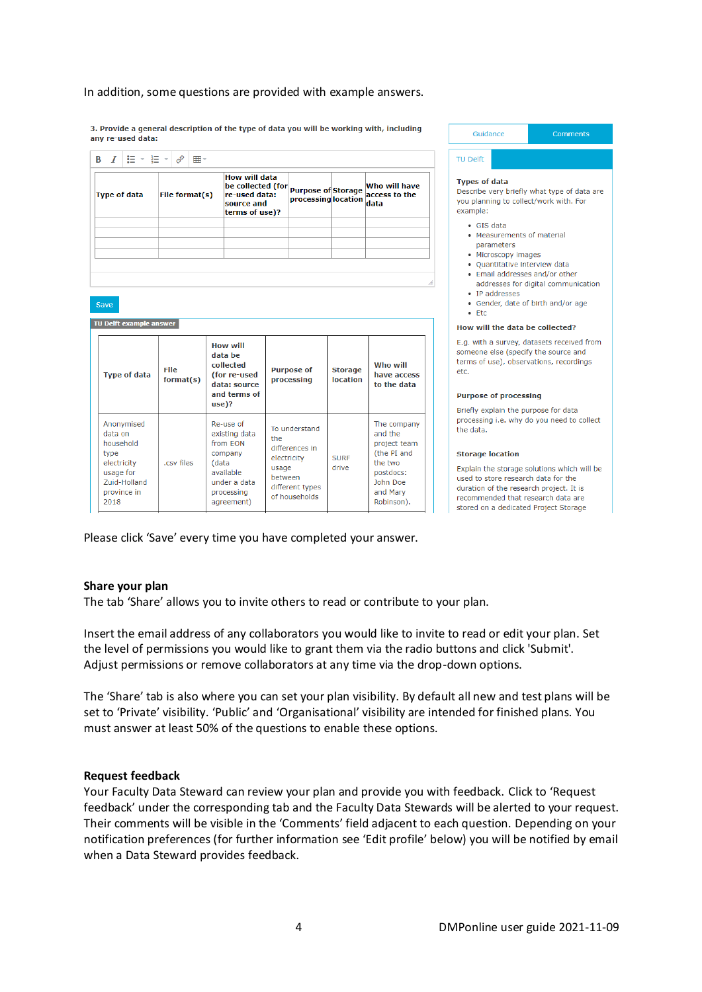#### In addition, some questions are provided with example answers.

3. Provide a general description of the type of data you will be working with, including any re-used data:

|                     | <b>B</b> $I \rvert \equiv \text{F} \rvert \equiv \text{F} \cdot \text{F}$ |                |                                                                                     |                                                  |                |                                        |
|---------------------|---------------------------------------------------------------------------|----------------|-------------------------------------------------------------------------------------|--------------------------------------------------|----------------|----------------------------------------|
| <b>Type of data</b> |                                                                           | File format(s) | How will data<br>be collected (for<br>re-used data:<br>source and<br>terms of use)? | <b>Purpose of Storage</b><br>processing location |                | Who will have<br>access to the<br>data |
|                     |                                                                           |                |                                                                                     |                                                  |                |                                        |
| Save                | TU Delft example answer                                                   |                |                                                                                     |                                                  |                |                                        |
|                     |                                                                           | <b>File</b>    | <b>How will</b><br>data be<br>collected<br>(for re-used                             | <b>Purpose of</b>                                | <b>Storage</b> | Who will<br>have access                |

Guidance Comments **TU Delft Types of data** Describe very briefly what type of data are you planning to collect/work with. For example: · GIS data • Measurements of material parameters · Microscopy images · Quantitative interview data • Email addresses and/or other addresses for digital communication • IP addresses • Gender, date of birth and/or age  $\bullet$  Etc How will the data be collected? E.g. with a survey, datasets received from someone else (specify the source and terms of use), observations, recordings etc. **Purpose of processing** Briefly explain the purpose for data processing i.e. why do you need to collect the data. **Storage location** 

Explain the storage solutions which will be used to store research data for the duration of the research project. It is recommended that research data are stored on a dedicated Project Storage

Please click 'Save' every time you have completed your answer.

Re-use of

from EON

company

available

under a data

processing

agreement)

(data

.csv files

existing data

# **Share your plan**

Anonymised

data on

type

2018

household

electricity

usage for

Zuid-Holland

province in

The tab 'Share' allows you to invite others to read or contribute to your plan.

To understand

differences in

different types

of households

electricity

between

usage

the

Insert the email address of any collaborators you would like to invite to read or edit your plan. Set the level of permissions you would like to grant them via the radio buttons and click 'Submit'. Adjust permissions or remove collaborators at any time via the drop-down options.

**SURF** 

drive

The company

project team

(the PI and

and the

the two

postdocs:

John Doe

and Mary

Robinson).

The 'Share' tab is also where you can set your plan visibility. By default all new and test plans will be set to 'Private' visibility. 'Public' and 'Organisational' visibility are intended for finished plans. You must answer at least 50% of the questions to enable these options.

# **Request feedback**

Your Faculty Data Steward can review your plan and provide you with feedback. Click to 'Request feedback' under the corresponding tab and the Faculty Data Stewards will be alerted to your request. Their comments will be visible in the 'Comments' field adjacent to each question. Depending on your notification preferences (for further information see 'Edit profile' below) you will be notified by email when a Data Steward provides feedback.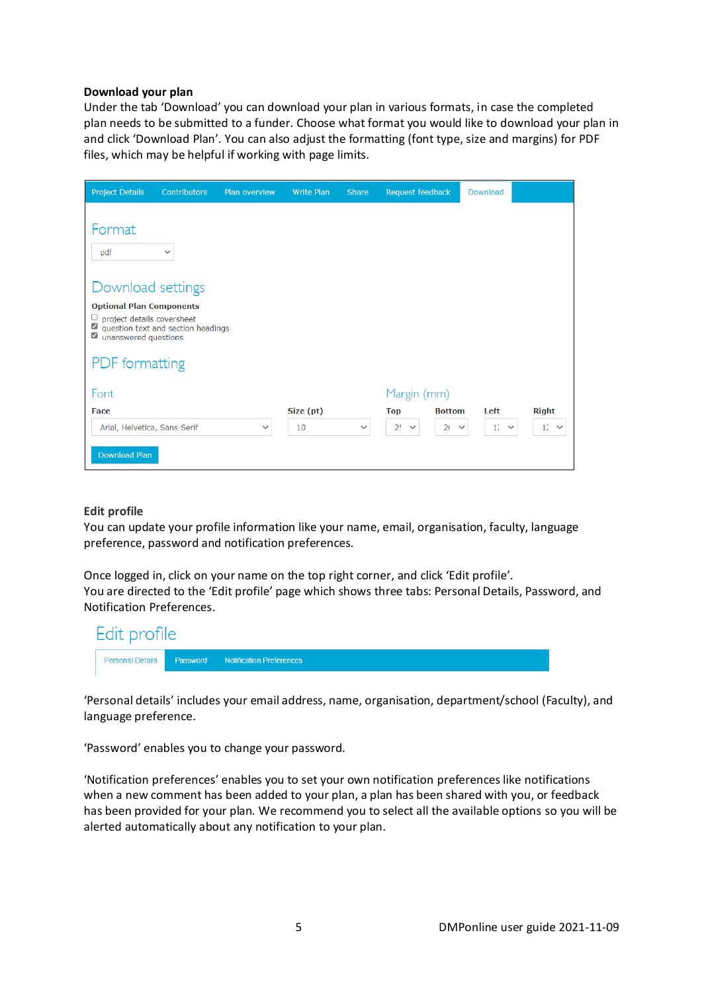# **Download your plan**

Under the tab 'Download' you can download your plan in various formats, in case the completed plan needs to be submitted to a funder. Choose what format you would like to download your plan in and click 'Download Plan'. You can also adjust the formatting (font type, size and margins) for PDF files, which may be helpful if working with page limits.

| <b>Project Details</b>                                                                                                                 | <b>Contributors</b>                | Plan overview | <b>Write Plan</b> | <b>Share</b> | Request feedback |               | Download                        |              |
|----------------------------------------------------------------------------------------------------------------------------------------|------------------------------------|---------------|-------------------|--------------|------------------|---------------|---------------------------------|--------------|
| Format<br>pdf                                                                                                                          | $\checkmark$                       |               |                   |              |                  |               |                                 |              |
| Download settings<br><b>Optional Plan Components</b><br>project details coversheet<br>☑<br>☑<br>unanswered questions<br>PDF formatting | question text and section headings |               |                   |              |                  |               |                                 |              |
| Font                                                                                                                                   |                                    |               |                   |              | Margin (mm)      |               |                                 |              |
| Face                                                                                                                                   |                                    |               | Size (pt)         |              | <b>Top</b>       | <b>Bottom</b> | Left                            | <b>Right</b> |
| Arial, Helvetica, Sans-Serif                                                                                                           |                                    | $\check{~}$   | 10                | $\checkmark$ | $2! \times$      | $20 \times$   | 11 <sup>°</sup><br>$\checkmark$ | $12 \times$  |
| <b>Download Plan</b>                                                                                                                   |                                    |               |                   |              |                  |               |                                 |              |

# **Edit profile**

You can update your profile information like your name, email, organisation, faculty, language preference, password and notification preferences.

Once logged in, click on your name on the top right corner, and click 'Edit profile'. You are directed to the 'Edit profile' page which shows three tabs: Personal Details, Password, and Notification Preferences.

| Edit profile |                                                             |  |
|--------------|-------------------------------------------------------------|--|
|              | <b>Personal Details   Password Notification Preferences</b> |  |

'Personal details' includes your email address, name, organisation, department/school (Faculty), and language preference.

'Password' enables you to change your password.

'Notification preferences' enables you to set your own notification preferences like notifications when a new comment has been added to your plan, a plan has been shared with you, or feedback has been provided for your plan. We recommend you to select all the available options so you will be alerted automatically about any notification to your plan.